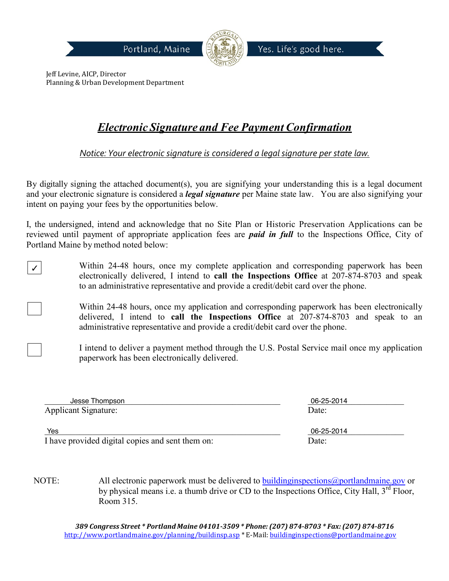

Jeff Levine, AICP, Director Planning & Urban Development Department

 $\boldsymbol{v}$ 

# *Electronic Signature and Fee Payment Confirmation*

*Notice: Your electronic signature is considered a legal signature per state law.*

By digitally signing the attached document(s), you are signifying your understanding this is a legal document and your electronic signature is considered a *legal signature* per Maine state law. You are also signifying your intent on paying your fees by the opportunities below.

I, the undersigned, intend and acknowledge that no Site Plan or Historic Preservation Applications can be reviewed until payment of appropriate application fees are *paid in full* to the Inspections Office, City of Portland Maine by method noted below:

Within 24-48 hours, once my complete application and corresponding paperwork has been electronically delivered, I intend to **call the Inspections Office** at 207-874-8703 and speak to an administrative representative and provide a credit/debit card over the phone.

Within 24-48 hours, once my application and corresponding paperwork has been electronically delivered, I intend to **call the Inspections Office** at 207-874-8703 and speak to an administrative representative and provide a credit/debit card over the phone.

I intend to deliver a payment method through the U.S. Postal Service mail once my application paperwork has been electronically delivered.

| Jesse Thompson              | 06-25-2014 |
|-----------------------------|------------|
| <b>Applicant Signature:</b> | Date:      |
|                             |            |
| Yes                         | 06-25-2014 |

I have provided digital copies and sent them on: Date:

NOTE: All electronic paperwork must be delivered to building inspections (a) portlandmaine gov or by physical means i.e. a thumb drive or CD to the Inspections Office, City Hall,  $3<sup>rd</sup>$  Floor, Room 315.

*389 Congress Street \* Portland Maine 04101-3509 \* Phone:(207) 874-8703 \* Fax:(207) 874-8716* <http://www.portlandmaine.gov/planning/buildinsp.asp> \* E-Mail: [buildinginspections@portlandmaine.gov](mailto:buildinginspections@portlandmaine.gov)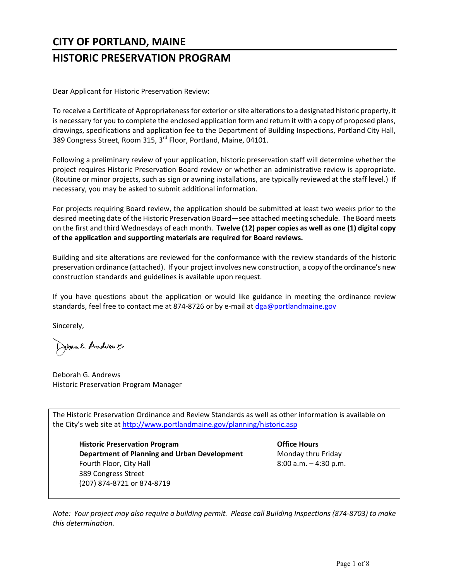# **CITY OF PORTLAND, MAINE**

# **HISTORIC PRESERVATION PROGRAM**

Dear Applicant for Historic Preservation Review:

To receive a Certificate of Appropriateness for exterior or site alterations to a designated historic property, it is necessary for you to complete the enclosed application form and return it with a copy of proposed plans, drawings, specifications and application fee to the Department of Building Inspections, Portland City Hall, 389 Congress Street, Room 315, 3<sup>rd</sup> Floor, Portland, Maine, 04101.

Following a preliminary review of your application, historic preservation staff will determine whether the project requires Historic Preservation Board review or whether an administrative review is appropriate. (Routine or minor projects, such as sign or awning installations, are typically reviewed at the staff level.) If necessary, you may be asked to submit additional information.

For projects requiring Board review, the application should be submitted at least two weeks prior to the desired meeting date of the Historic Preservation Board—see attached meeting schedule. The Board meets on the first and third Wednesdays of each month. **Twelve (12) paper copies as well as one (1) digital copy of the application and supporting materials are required for Board reviews.**

Building and site alterations are reviewed for the conformance with the review standards of the historic preservation ordinance (attached). If your project involves new construction, a copy of the ordinance's new construction standards and guidelines is available upon request.

If you have questions about the application or would like guidance in meeting the ordinance review standards, feel free to contact me at 874-8726 or by e-mail at [dga@portlandmaine.gov](mailto:dga@portlandmaine.gov)

Sincerely,

Johnah Andvent

Deborah G. Andrews Historic Preservation Program Manager

The Historic Preservation Ordinance and Review Standards as well as other information is available on the City's web site at<http://www.portlandmaine.gov/planning/historic.asp>

**Historic Preservation Program Office Hours Department of Planning and Urban Development Monday thru Friday** Fourth Floor, City Hall **Example 2:00 a.m.** – 4:30 p.m. 389 Congress Street (207) 874-8721 or 874-8719

*Note: Your project may also require a building permit. Please call Building Inspections (874-8703) to make this determination.*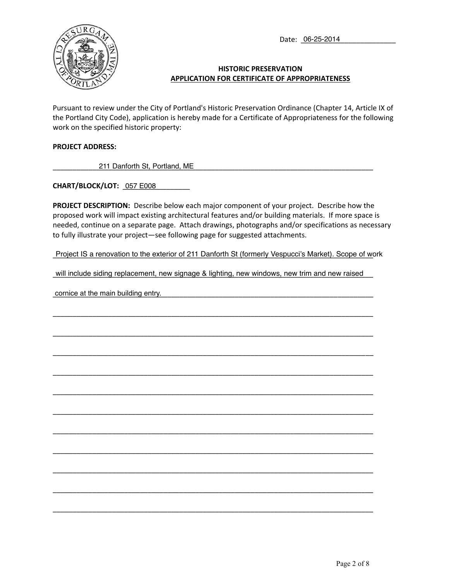Date: \_\_\_\_\_\_\_\_\_\_\_\_\_\_\_\_\_\_\_\_\_\_\_\_ 06-25-2014



### **HISTORIC PRESERVATION APPLICATION FOR CERTIFICATE OF APPROPRIATENESS**

Pursuant to review under the City of Portland's Historic Preservation Ordinance (Chapter 14, Article IX of the Portland City Code), application is hereby made for a Certificate of Appropriateness for the following work on the specified historic property:

#### **PROJECT ADDRESS:**

\_\_\_\_\_\_\_\_\_\_\_\_\_\_\_\_\_\_\_\_\_\_\_\_\_\_\_\_\_\_\_\_\_\_\_\_\_\_\_\_\_\_\_\_\_\_\_\_\_\_\_\_\_\_\_\_\_\_\_\_\_\_\_\_\_\_\_\_\_\_\_\_\_\_\_\_\_\_\_\_\_ 211 Danforth St, Portland, ME

**CHART/BLOCK/LOT:** \_\_\_\_\_\_\_\_\_\_\_\_\_\_\_\_\_ 057 E008

**PROJECT DESCRIPTION:** Describe below each major component of your project. Describe how the proposed work will impact existing architectural features and/or building materials. If more space is needed, continue on a separate page. Attach drawings, photographs and/or specifications as necessary to fully illustrate your project—see following page for suggested attachments.

Project IS a renovation to the exterior of 211 Danforth St (formerly Vespucci's Market). Scope of work

will include siding replacement, new signage & lighting, new windows, new trim and new raised Project IS a renovation to the exterior of 211 Danforth St (formerly Vespucci's Market). Scope of work<br>will include siding replacement, new signage & lighting, new windows, new trim and new raised<br>cornice at the main build

\_\_\_\_\_\_\_\_\_\_\_\_\_\_\_\_\_\_\_\_\_\_\_\_\_\_\_\_\_\_\_\_\_\_\_\_\_\_\_\_\_\_\_\_\_\_\_\_\_\_\_\_\_\_\_\_\_\_\_\_\_\_\_\_\_\_\_\_\_\_\_\_\_\_\_\_\_\_\_\_\_

\_\_\_\_\_\_\_\_\_\_\_\_\_\_\_\_\_\_\_\_\_\_\_\_\_\_\_\_\_\_\_\_\_\_\_\_\_\_\_\_\_\_\_\_\_\_\_\_\_\_\_\_\_\_\_\_\_\_\_\_\_\_\_\_\_\_\_\_\_\_\_\_\_\_\_\_\_\_\_\_\_

\_\_\_\_\_\_\_\_\_\_\_\_\_\_\_\_\_\_\_\_\_\_\_\_\_\_\_\_\_\_\_\_\_\_\_\_\_\_\_\_\_\_\_\_\_\_\_\_\_\_\_\_\_\_\_\_\_\_\_\_\_\_\_\_\_\_\_\_\_\_\_\_\_\_\_\_\_\_\_\_\_

\_\_\_\_\_\_\_\_\_\_\_\_\_\_\_\_\_\_\_\_\_\_\_\_\_\_\_\_\_\_\_\_\_\_\_\_\_\_\_\_\_\_\_\_\_\_\_\_\_\_\_\_\_\_\_\_\_\_\_\_\_\_\_\_\_\_\_\_\_\_\_\_\_\_\_\_\_\_\_\_\_

\_\_\_\_\_\_\_\_\_\_\_\_\_\_\_\_\_\_\_\_\_\_\_\_\_\_\_\_\_\_\_\_\_\_\_\_\_\_\_\_\_\_\_\_\_\_\_\_\_\_\_\_\_\_\_\_\_\_\_\_\_\_\_\_\_\_\_\_\_\_\_\_\_\_\_\_\_\_\_\_\_

\_\_\_\_\_\_\_\_\_\_\_\_\_\_\_\_\_\_\_\_\_\_\_\_\_\_\_\_\_\_\_\_\_\_\_\_\_\_\_\_\_\_\_\_\_\_\_\_\_\_\_\_\_\_\_\_\_\_\_\_\_\_\_\_\_\_\_\_\_\_\_\_\_\_\_\_\_\_\_\_\_

\_\_\_\_\_\_\_\_\_\_\_\_\_\_\_\_\_\_\_\_\_\_\_\_\_\_\_\_\_\_\_\_\_\_\_\_\_\_\_\_\_\_\_\_\_\_\_\_\_\_\_\_\_\_\_\_\_\_\_\_\_\_\_\_\_\_\_\_\_\_\_\_\_\_\_\_\_\_\_\_\_

\_\_\_\_\_\_\_\_\_\_\_\_\_\_\_\_\_\_\_\_\_\_\_\_\_\_\_\_\_\_\_\_\_\_\_\_\_\_\_\_\_\_\_\_\_\_\_\_\_\_\_\_\_\_\_\_\_\_\_\_\_\_\_\_\_\_\_\_\_\_\_\_\_\_\_\_\_\_\_\_\_

\_\_\_\_\_\_\_\_\_\_\_\_\_\_\_\_\_\_\_\_\_\_\_\_\_\_\_\_\_\_\_\_\_\_\_\_\_\_\_\_\_\_\_\_\_\_\_\_\_\_\_\_\_\_\_\_\_\_\_\_\_\_\_\_\_\_\_\_\_\_\_\_\_\_\_\_\_\_\_\_\_

\_\_\_\_\_\_\_\_\_\_\_\_\_\_\_\_\_\_\_\_\_\_\_\_\_\_\_\_\_\_\_\_\_\_\_\_\_\_\_\_\_\_\_\_\_\_\_\_\_\_\_\_\_\_\_\_\_\_\_\_\_\_\_\_\_\_\_\_\_\_\_\_\_\_\_\_\_\_\_\_\_

\_\_\_\_\_\_\_\_\_\_\_\_\_\_\_\_\_\_\_\_\_\_\_\_\_\_\_\_\_\_\_\_\_\_\_\_\_\_\_\_\_\_\_\_\_\_\_\_\_\_\_\_\_\_\_\_\_\_\_\_\_\_\_\_\_\_\_\_\_\_\_\_\_\_\_\_\_\_\_\_\_

cornice at the main building entry.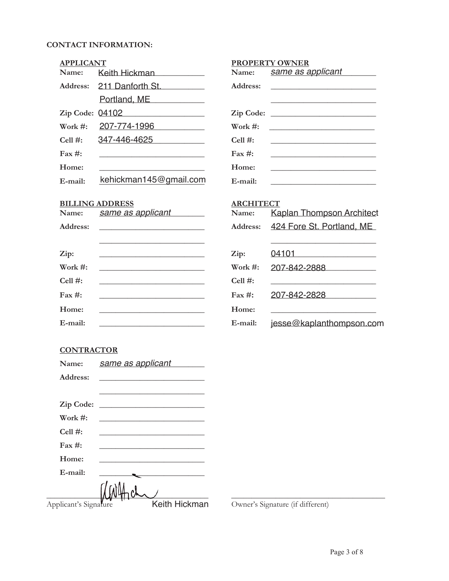## **CONTACT INFORMATION:**

| <b>APPLICANT</b>  |                                                                                           | <b>PROPERTY OWNER</b> |                                  |
|-------------------|-------------------------------------------------------------------------------------------|-----------------------|----------------------------------|
| Name:             | Keith Hickman                                                                             | Name:                 | same as applicant                |
| Address:          | 211 Danforth St.                                                                          | Address:              |                                  |
|                   | Portland, ME                                                                              |                       |                                  |
|                   | Zip Code: 04102                                                                           |                       |                                  |
| Work $#$ :        | 207-774-1996                                                                              | Work $\#$ :           |                                  |
| Cell $#$ :        | 347-446-4625                                                                              | Cell $#$ :            |                                  |
| $\text{Fax} \#$ : |                                                                                           | Fax $#$ :             |                                  |
| Home:             |                                                                                           | Home:                 |                                  |
| E-mail:           | kehickman145@gmail.com                                                                    | E-mail:               |                                  |
|                   | <b>BILLING ADDRESS</b>                                                                    | <b>ARCHITECT</b>      |                                  |
| Name:             | <u>same as applicant</u>                                                                  | Name:                 | <b>Kaplan Thompson Architect</b> |
| Address:          |                                                                                           | Address:              | 424 Fore St. Portland, ME        |
| Zip:              |                                                                                           | Zip:                  | 04101                            |
| Work $\#$ :       |                                                                                           | Work $#$ :            | 207-842-2888                     |
| Cell $#$ :        | the control of the control of the control of the control of the control of the control of | Cell $#$ :            |                                  |
| $\text{Fax} \#$ : |                                                                                           | $\text{Fax} \#$ :     | 207-842-2828                     |
| Home:             | the control of the control of the control of the control of the control of the control of | Home:                 |                                  |
| E-mail:           |                                                                                           | E-mail:               | jesse@kaplanthompson.com         |

## **CONTRACTOR**

| Name:                 | same as applicant                                                                                                                                                                                                                    |
|-----------------------|--------------------------------------------------------------------------------------------------------------------------------------------------------------------------------------------------------------------------------------|
| Address:              |                                                                                                                                                                                                                                      |
|                       |                                                                                                                                                                                                                                      |
| Zip Code:             | <u> 1989 - Andrea Aonaich, ann an t-Èireann an t-Èireann an t-Èireann an t-Èireann an t-Èireann an t-Èireann an t-Èireann an t-Èireann an t-Èireann an t-Èireann an t-Èireann an t-Èireann an t-Èireann an t-Èireann an t-Èirean</u> |
| Work $\#$ :           |                                                                                                                                                                                                                                      |
| Cell $#$ :            |                                                                                                                                                                                                                                      |
| $\text{Fax}\,\#:$     |                                                                                                                                                                                                                                      |
| Home:                 |                                                                                                                                                                                                                                      |
| E-mail:               |                                                                                                                                                                                                                                      |
|                       |                                                                                                                                                                                                                                      |
| Applicant's Signature | Keith Hickman                                                                                                                                                                                                                        |

Owner's Signature (if different)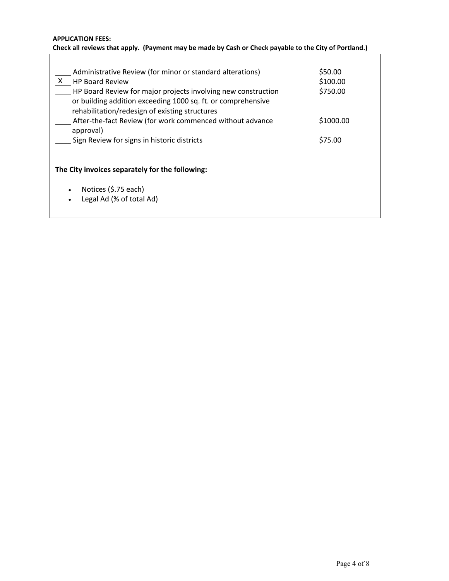#### **APPLICATION FEES: Check all reviews that apply. (Payment may be made by Cash or Check payable to the City of Portland.)**

| Administrative Review (for minor or standard alterations)<br><b>HP Board Review</b><br>X<br>HP Board Review for major projects involving new construction<br>or building addition exceeding 1000 sq. ft. or comprehensive<br>rehabilitation/redesign of existing structures | \$50.00<br>\$100.00<br>\$750.00 |  |  |  |
|-----------------------------------------------------------------------------------------------------------------------------------------------------------------------------------------------------------------------------------------------------------------------------|---------------------------------|--|--|--|
| After-the-fact Review (for work commenced without advance<br>approval)<br>Sign Review for signs in historic districts                                                                                                                                                       | \$1000.00<br>\$75.00            |  |  |  |
| The City invoices separately for the following:<br>Notices (\$.75 each)<br>٠<br>Legal Ad (% of total Ad)                                                                                                                                                                    |                                 |  |  |  |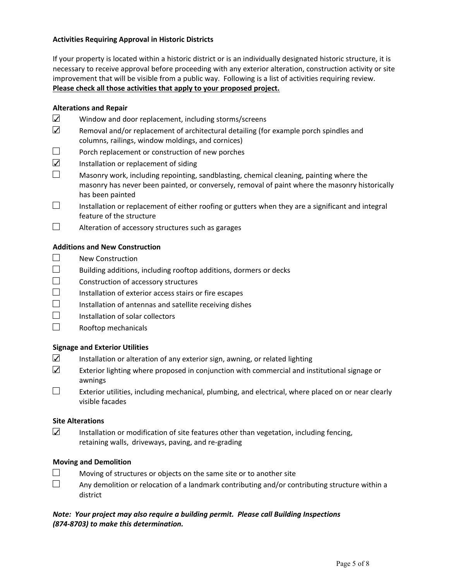#### **Activities Requiring Approval in Historic Districts**

If your property is located within a historic district or is an individually designated historic structure, it is necessary to receive approval before proceeding with any exterior alteration, construction activity or site improvement that will be visible from a public way. Following is a list of activities requiring review. **Please check all those activities that apply to your proposed project.**

#### **Alterations and Repair**

- $\square$  Window and door replacement, including storms/screens
- $\square$  Removal and/or replacement of architectural detailing (for example porch spindles and columns, railings, window moldings, and cornices)
- $\square$  Porch replacement or construction of new porches
- $\nabla$  Installation or replacement of siding
- $\Box$  Masonry work, including repointing, sandblasting, chemical cleaning, painting where the masonry has never been painted, or conversely, removal of paint where the masonry historically has been painted
- $\Box$  Installation or replacement of either roofing or gutters when they are a significant and integral feature of the structure
- $\Box$  Alteration of accessory structures such as garages

#### **Additions and New Construction**

- $\square$  New Construction
- $\Box$  Building additions, including rooftop additions, dormers or decks
- $\Box$  Construction of accessory structures
- $\square$  Installation of exterior access stairs or fire escapes
- $\square$  Installation of antennas and satellite receiving dishes
- $\Box$  Installation of solar collectors
- $\Box$  Rooftop mechanicals

#### **Signage and Exterior Utilities**

- $\Box$  Installation or alteration of any exterior sign, awning, or related lighting
- $\Box$  Exterior lighting where proposed in conjunction with commercial and institutional signage or awnings
- $\Box$  Exterior utilities, including mechanical, plumbing, and electrical, where placed on or near clearly visible facades

#### **Site Alterations**

 $\square$  Installation or modification of site features other than vegetation, including fencing, retaining walls, driveways, paving, and re-grading

#### **Moving and Demolition**

- $\Box$  Moving of structures or objects on the same site or to another site
- $\Box$  Any demolition or relocation of a landmark contributing and/or contributing structure within a district

#### *Note: Your project may also require a building permit. Please call Building Inspections (874-8703) to make this determination.*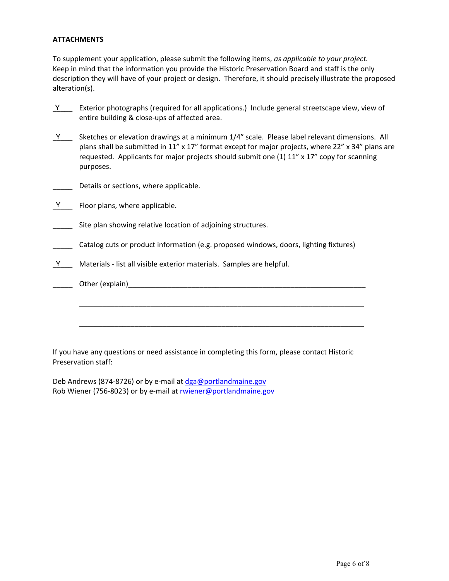#### **ATTACHMENTS**

To supplement your application, please submit the following items, *as applicable to your project.* Keep in mind that the information you provide the Historic Preservation Board and staff is the only description they will have of your project or design. Therefore, it should precisely illustrate the proposed alteration(s).

- $Y$  [Exterior photographs (required for all applications.) Include general streetscape view, view of entire building & close-ups of affected area.
- $Y$  Sketches or elevation drawings at a minimum 1/4" scale. Please label relevant dimensions. All plans shall be submitted in 11" x 17" format except for major projects, where 22" x 34" plans are requested. Applicants for major projects should submit one  $(1)$  11" x 17" copy for scanning purposes.
- Details or sections, where applicable.
- $Y$  Floor plans, where applicable.
- \_\_\_\_\_ Site plan showing relative location of adjoining structures.
- Catalog cuts or product information (e.g. proposed windows, doors, lighting fixtures)
- $Y$  Materials list all visible exterior materials. Samples are helpful.
- \_\_\_\_\_ Other (explain)\_\_\_\_\_\_\_\_\_\_\_\_\_\_\_\_\_\_\_\_\_\_\_\_\_\_\_\_\_\_\_\_\_\_\_\_\_\_\_\_\_\_\_\_\_\_\_\_\_\_\_\_\_\_\_\_\_\_\_\_

\_\_\_\_\_\_\_\_\_\_\_\_\_\_\_\_\_\_\_\_\_\_\_\_\_\_\_\_\_\_\_\_\_\_\_\_\_\_\_\_\_\_\_\_\_\_\_\_\_\_\_\_\_\_\_\_\_\_\_\_\_\_\_\_\_\_\_\_\_\_\_\_

\_\_\_\_\_\_\_\_\_\_\_\_\_\_\_\_\_\_\_\_\_\_\_\_\_\_\_\_\_\_\_\_\_\_\_\_\_\_\_\_\_\_\_\_\_\_\_\_\_\_\_\_\_\_\_\_\_\_\_\_\_\_\_\_\_\_\_\_\_\_\_\_

If you have any questions or need assistance in completing this form, please contact Historic Preservation staff:

Deb Andrews (874-8726) or by e-mail a[t dga@portlandmaine.gov](mailto:dga@portlandmaine.gov) Rob Wiener (756-8023) or by e-mail at [rwiener@portlandmaine.gov](mailto:rwiener@portlandmaine.gov)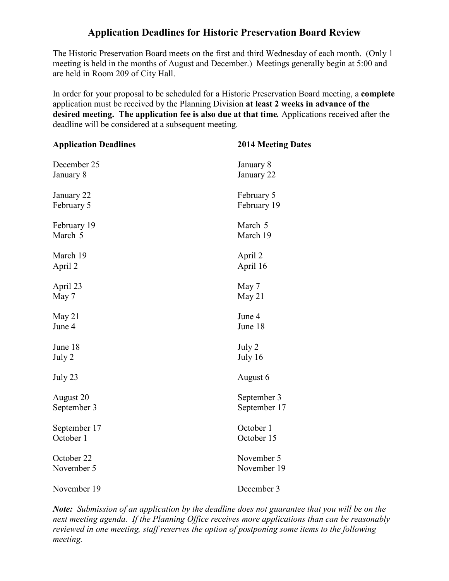## **Application Deadlines for Historic Preservation Board Review**

The Historic Preservation Board meets on the first and third Wednesday of each month. (Only 1 meeting is held in the months of August and December.) Meetings generally begin at 5:00 and are held in Room 209 of City Hall.

In order for your proposal to be scheduled for a Historic Preservation Board meeting, a **complete**  application must be received by the Planning Division **at least 2 weeks in advance of the desired meeting. The application fee is also due at that time***.* Applications received after the deadline will be considered at a subsequent meeting.

| <b>Application Deadlines</b> | <b>2014 Meeting Dates</b> |
|------------------------------|---------------------------|
| December 25                  | January 8                 |
| January 8                    | January 22                |
| January 22                   | February 5                |
| February 5                   | February 19               |
| February 19                  | March 5                   |
| March 5                      | March 19                  |
| March 19                     | April 2                   |
| April 2                      | April 16                  |
| April 23                     | May 7                     |
| May 7                        | May 21                    |
| May 21                       | June 4                    |
| June 4                       | June 18                   |
| June 18                      | July 2                    |
| July 2                       | July 16                   |
| July 23                      | August 6                  |
| August 20                    | September 3               |
| September 3                  | September 17              |
| September 17                 | October 1                 |
| October 1                    | October 15                |
| October 22                   | November 5                |
| November 5                   | November 19               |
| November 19                  | December 3                |

*Note: Submission of an application by the deadline does not guarantee that you will be on the next meeting agenda. If the Planning Office receives more applications than can be reasonably reviewed in one meeting, staff reserves the option of postponing some items to the following meeting.*